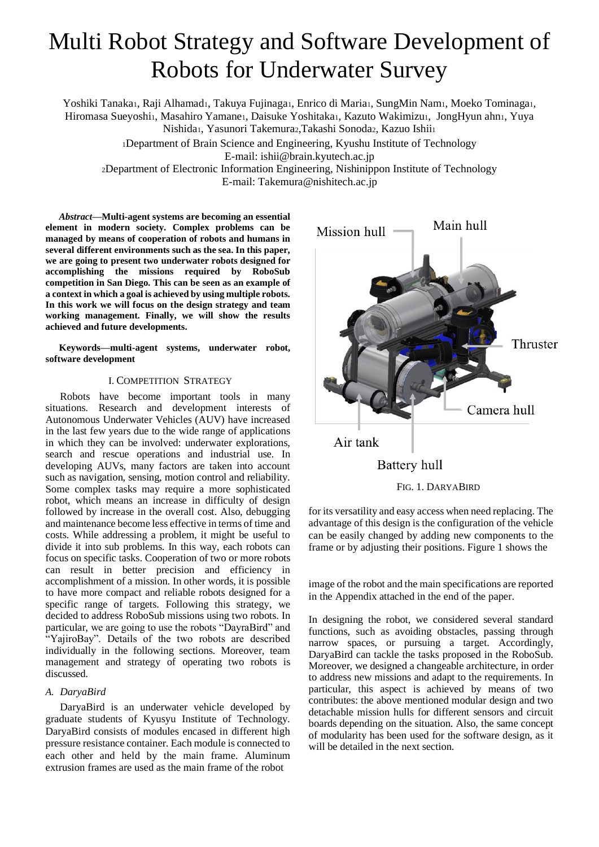# Multi Robot Strategy and Software Development of Robots for Underwater Survey

Yoshiki Tanaka1, Raji Alhamad1, Takuya Fujinaga1, Enrico di Maria1, SungMin Nam1, Moeko Tominaga1, Hiromasa Sueyoshi1, Masahiro Yamane1, Daisuke Yoshitaka1, Kazuto Wakimizu1, JongHyun ahn1, Yuya Nishida1, Yasunori Takemura2,Takashi Sonoda2, Kazuo Ishii1

<sup>1</sup>Department of Brain Science and Engineering, Kyushu Institute of Technology E-mail: [ishii@brain.kyutech.ac.jp](mailto:ishii@brain.kyutech.ac.jp)

<sup>2</sup>Department of Electronic Information Engineering, Nishinippon Institute of Technology E-mail: Takemura@nishitech.ac.jp

*Abstract***—Multi-agent systems are becoming an essential element in modern society. Complex problems can be managed by means of cooperation of robots and humans in several different environments such as the sea. In this paper, we are going to present two underwater robots designed for accomplishing the missions required by RoboSub competition in San Diego. This can be seen as an example of a context in which a goal is achieved by using multiple robots. In this work we will focus on the design strategy and team working management. Finally, we will show the results achieved and future developments.**

**Keywords—multi-agent systems, underwater robot, software development**

# I. COMPETITION STRATEGY

Robots have become important tools in many situations. Research and development interests of Autonomous Underwater Vehicles (AUV) have increased in the last few years due to the wide range of applications in which they can be involved: underwater explorations, search and rescue operations and industrial use. In developing AUVs, many factors are taken into account such as navigation, sensing, motion control and reliability. Some complex tasks may require a more sophisticated robot, which means an increase in difficulty of design followed by increase in the overall cost. Also, debugging and maintenance become less effective in terms of time and costs. While addressing a problem, it might be useful to divide it into sub problems. In this way, each robots can focus on specific tasks. Cooperation of two or more robots can result in better precision and efficiency in accomplishment of a mission. In other words, it is possible to have more compact and reliable robots designed for a specific range of targets. Following this strategy, we decided to address RoboSub missions using two robots. In particular, we are going to use the robots "DayraBird" and "YajiroBay". Details of the two robots are described individually in the following sections. Moreover, team management and strategy of operating two robots is discussed.

# *A. DaryaBird*

DaryaBird is an underwater vehicle developed by graduate students of Kyusyu Institute of Technology. DaryaBird consists of modules encased in different high pressure resistance container. Each module is connected to each other and held by the main frame. Aluminum extrusion frames are used as the main frame of the robot



for its versatility and easy access when need replacing. The advantage of this design is the configuration of the vehicle can be easily changed by adding new components to the frame or by adjusting their positions. Figure 1 shows the

image of the robot and the main specifications are reported in the Appendix attached in the end of the paper.

In designing the robot, we considered several standard functions, such as avoiding obstacles, passing through narrow spaces, or pursuing a target. Accordingly, DaryaBird can tackle the tasks proposed in the RoboSub. Moreover, we designed a changeable architecture, in order to address new missions and adapt to the requirements. In particular, this aspect is achieved by means of two contributes: the above mentioned modular design and two detachable mission hulls for different sensors and circuit boards depending on the situation. Also, the same concept of modularity has been used for the software design, as it will be detailed in the next section.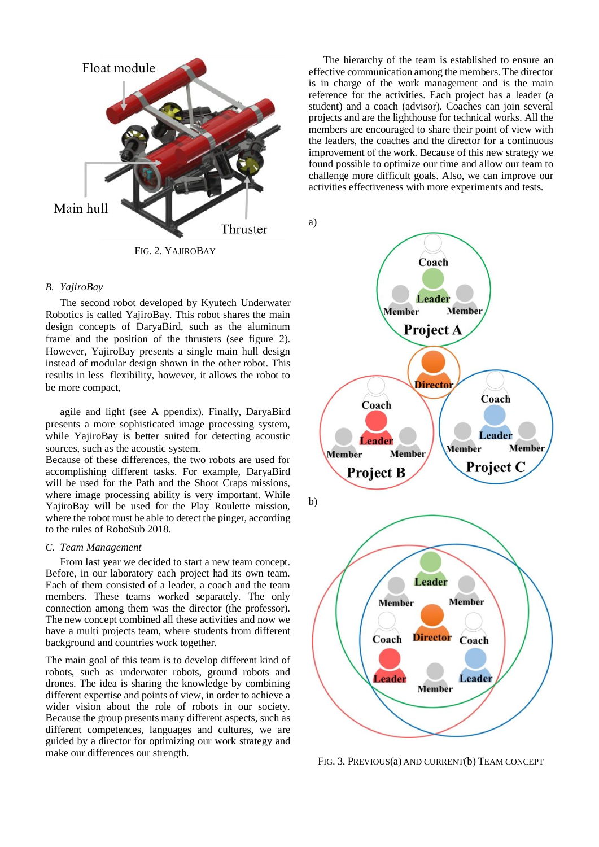

FIG. 2. YAJIROBAY

# *B. YajiroBay*

The second robot developed by Kyutech Underwater Robotics is called YajiroBay. This robot shares the main design concepts of DaryaBird, such as the aluminum frame and the position of the thrusters (see figure 2). However, YajiroBay presents a single main hull design instead of modular design shown in the other robot. This results in less flexibility, however, it allows the robot to be more compact,

agile and light (see A ppendix). Finally, DaryaBird presents a more sophisticated image processing system, while YajiroBay is better suited for detecting acoustic sources, such as the acoustic system.

Because of these differences, the two robots are used for accomplishing different tasks. For example, DaryaBird will be used for the Path and the Shoot Craps missions, where image processing ability is very important. While YajiroBay will be used for the Play Roulette mission, where the robot must be able to detect the pinger, according to the rules of RoboSub 2018.

#### *C. Team Management*

From last year we decided to start a new team concept. Before, in our laboratory each project had its own team. Each of them consisted of a leader, a coach and the team members. These teams worked separately. The only connection among them was the director (the professor). The new concept combined all these activities and now we have a multi projects team, where students from different background and countries work together.

The main goal of this team is to develop different kind of robots, such as underwater robots, ground robots and drones. The idea is sharing the knowledge by combining different expertise and points of view, in order to achieve a wider vision about the role of robots in our society. Because the group presents many different aspects, such as different competences, languages and cultures, we are guided by a director for optimizing our work strategy and make our differences our strength.

The hierarchy of the team is established to ensure an effective communication among the members. The director is in charge of the work management and is the main reference for the activities. Each project has a leader (a student) and a coach (advisor). Coaches can join several projects and are the lighthouse for technical works. All the members are encouraged to share their point of view with the leaders, the coaches and the director for a continuous improvement of the work. Because of this new strategy we found possible to optimize our time and allow our team to challenge more difficult goals. Also, we can improve our activities effectiveness with more experiments and tests.

a)



FIG. 3. PREVIOUS(a) AND CURRENT(b) TEAM CONCEPT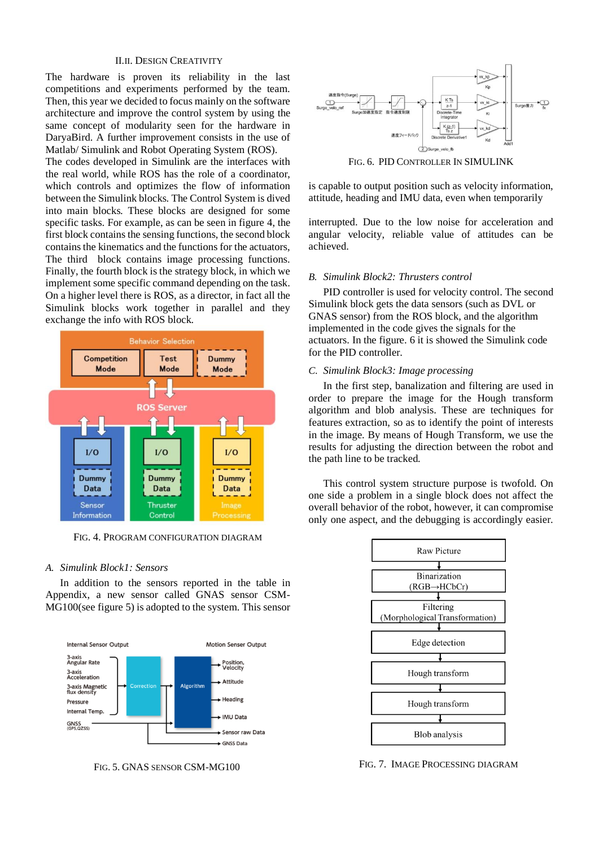## II.II. DESIGN CREATIVITY

The hardware is proven its reliability in the last competitions and experiments performed by the team. Then, this year we decided to focus mainly on the software architecture and improve the control system by using the same concept of modularity seen for the hardware in DaryaBird. A further improvement consists in the use of Matlab/ Simulink and Robot Operating System (ROS).

The codes developed in Simulink are the interfaces with the real world, while ROS has the role of a coordinator, which controls and optimizes the flow of information between the Simulink blocks. The Control System is dived into main blocks. These blocks are designed for some specific tasks. For example, as can be seen in figure 4, the first block contains the sensing functions, the second block contains the kinematics and the functions for the actuators, The third block contains image processing functions. Finally, the fourth block is the strategy block, in which we implement some specific command depending on the task. On a higher level there is ROS, as a director, in fact all the Simulink blocks work together in parallel and they exchange the info with ROS block.



FIG. 4. PROGRAM CONFIGURATION DIAGRAM

# *A. Simulink Block1: Sensors*

In addition to the sensors reported in the table in Appendix, a new sensor called GNAS sensor CSM-MG100(see figure 5) is adopted to the system. This sensor





FIG. 6. PID CONTROLLER IN SIMULINK

is capable to output position such as velocity information, attitude, heading and IMU data, even when temporarily

interrupted. Due to the low noise for acceleration and angular velocity, reliable value of attitudes can be achieved.

#### *B. Simulink Block2: Thrusters control*

PID controller is used for velocity control. The second Simulink block gets the data sensors (such as DVL or GNAS sensor) from the ROS block, and the algorithm implemented in the code gives the signals for the actuators. In the figure. 6 it is showed the Simulink code for the PID controller.

# *C. Simulink Block3: Image processing*

In the first step, banalization and filtering are used in order to prepare the image for the Hough transform algorithm and blob analysis. These are techniques for features extraction, so as to identify the point of interests in the image. By means of Hough Transform, we use the results for adjusting the direction between the robot and the path line to be tracked.

This control system structure purpose is twofold. On one side a problem in a single block does not affect the overall behavior of the robot, however, it can compromise only one aspect, and the debugging is accordingly easier.



FIG. 5. GNAS SENSOR CSM-MG100 FIG. 7. IMAGE PROCESSING DIAGRAM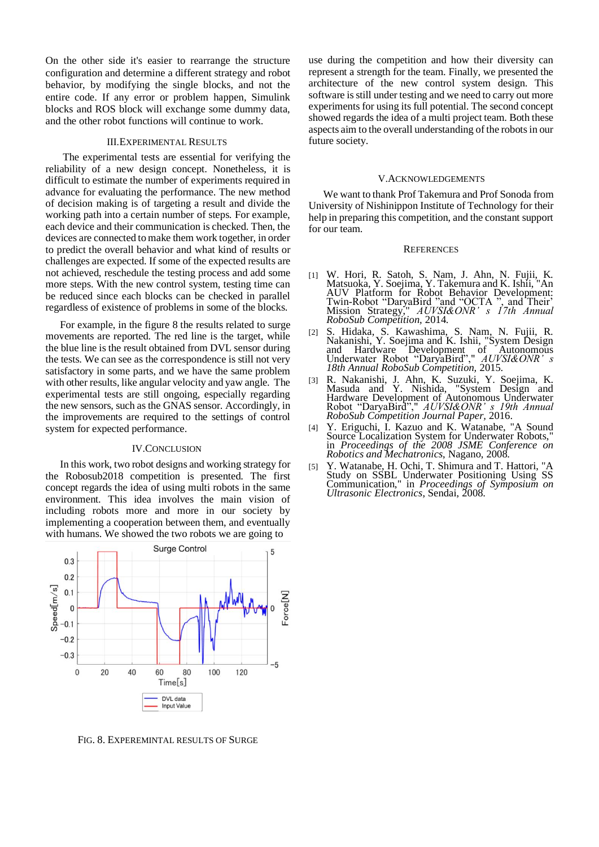On the other side it's easier to rearrange the structure configuration and determine a different strategy and robot behavior, by modifying the single blocks, and not the entire code. If any error or problem happen, Simulink blocks and ROS block will exchange some dummy data, and the other robot functions will continue to work.

#### III.EXPERIMENTAL RESULTS

The experimental tests are essential for verifying the reliability of a new design concept. Nonetheless, it is difficult to estimate the number of experiments required in advance for evaluating the performance. The new method of decision making is of targeting a result and divide the working path into a certain number of steps. For example, each device and their communication is checked. Then, the devices are connected to make them work together, in order to predict the overall behavior and what kind of results or challenges are expected. If some of the expected results are not achieved, reschedule the testing process and add some more steps. With the new control system, testing time can be reduced since each blocks can be checked in parallel regardless of existence of problems in some of the blocks.

For example, in the figure 8 the results related to surge movements are reported. The red line is the target, while the blue line is the result obtained from DVL sensor during the tests. We can see as the correspondence is still not very satisfactory in some parts, and we have the same problem with other results, like angular velocity and yaw angle. The experimental tests are still ongoing, especially regarding the new sensors, such as the GNAS sensor. Accordingly, in the improvements are required to the settings of control system for expected performance.

# IV.CONCLUSION

In this work, two robot designs and working strategy for the Robosub2018 competition is presented. The first concept regards the idea of using multi robots in the same environment. This idea involves the main vision of including robots more and more in our society by implementing a cooperation between them, and eventually with humans. We showed the two robots we are going to



FIG. 8. EXPEREMINTAL RESULTS OF SURGE

use during the competition and how their diversity can represent a strength for the team. Finally, we presented the architecture of the new control system design. This software is still under testing and we need to carry out more experiments for using its full potential. The second concept showed regards the idea of a multi project team. Both these aspects aim to the overall understanding of the robots in our future society.

#### V.ACKNOWLEDGEMENTS

We want to thank Prof Takemura and Prof Sonoda from University of Nishinippon Institute of Technology for their help in preparing this competition, and the constant support for our team.

#### **REFERENCES**

- [1] W. Hori, R. Satoh, S. Nam, J. Ahn, N. Fujii, K. Matsuoka, Y. Soejima, Y. Takemura and K. Ishii, "An AUV Platform for Robot Behavior Development: Twin-Robot "DaryaBird "and "OCTA ", and Their' Mission Strategy," *AUVSI&ONR' s 17th Annual RoboSub Competition,* 2014.
- [2] S. Hidaka, S. Kawashima, S. Nam, N. Fujii, R. Nakanishi, Y. Soejima and K. Ishii, "System Design and Hardware Development of Autonomous Underwater Robot "DaryaBird"," *AUVSI&ONR' s 18th Annual RoboSub Competition,* 2015.
- [3] R. Nakanishi, J. Ahn, K. Suzuki, Y. Soejima, K. Masuda and Y. Nishida, "System Design and Hardware Development of Autonomous Underwater Robot "DaryaBird"," *AUVSI&ONR' s 19th Annual RoboSub Competition Journal Paper,* 2016.
- [4] Y. Eriguchi, I. Kazuo and K. Watanabe, "A Sound Source Localization System for Underwater Robots," in *Proceedings of the 2008 JSME Conference on Robotics and Mechatronics*, Nagano, 2008.
- [5] Y. Watanabe, H. Ochi, T. Shimura and T. Hattori, "A Study on SSBL Underwater Positioning Using SS Communication," in *Proceedings of Symposium on Ultrasonic Electronics*, Sendai, 2008.